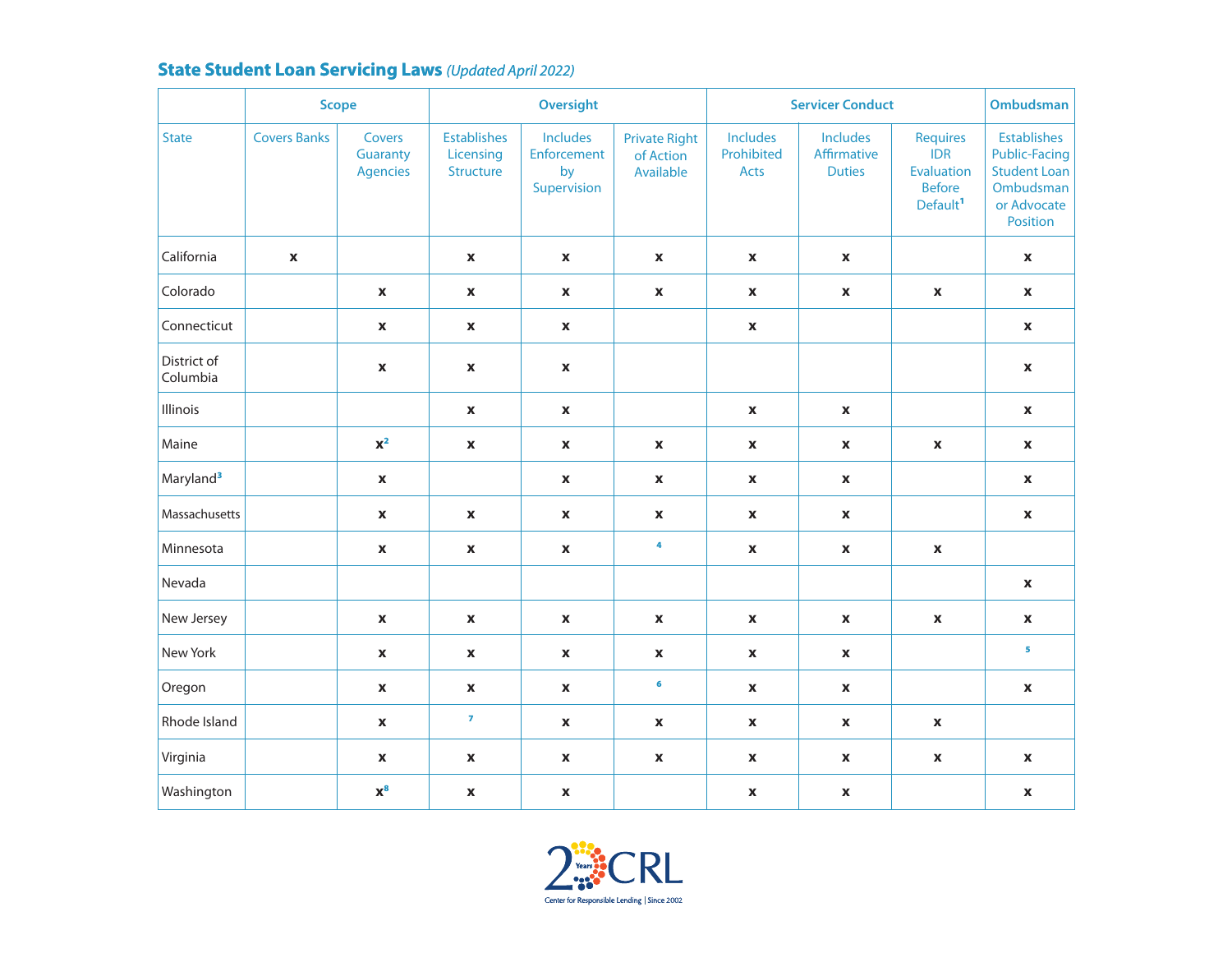## **State Student Loan Servicing Laws** *(Updated April 2022)*

|                         | <b>Scope</b>        |                                       | <b>Oversight</b>                             |                                              |                                                | <b>Servicer Conduct</b>               |                                                 |                                                                                             | <b>Ombudsman</b>                                                                                          |
|-------------------------|---------------------|---------------------------------------|----------------------------------------------|----------------------------------------------|------------------------------------------------|---------------------------------------|-------------------------------------------------|---------------------------------------------------------------------------------------------|-----------------------------------------------------------------------------------------------------------|
| <b>State</b>            | <b>Covers Banks</b> | Covers<br>Guaranty<br><b>Agencies</b> | <b>Establishes</b><br>Licensing<br>Structure | Includes<br>Enforcement<br>by<br>Supervision | <b>Private Right</b><br>of Action<br>Available | <b>Includes</b><br>Prohibited<br>Acts | <b>Includes</b><br>Affirmative<br><b>Duties</b> | <b>Requires</b><br><b>IDR</b><br><b>Evaluation</b><br><b>Before</b><br>Default <sup>1</sup> | <b>Establishes</b><br><b>Public-Facing</b><br><b>Student Loan</b><br>Ombudsman<br>or Advocate<br>Position |
| California              | X                   |                                       | $\boldsymbol{\mathsf{X}}$                    | $\pmb{\mathsf{X}}$                           | $\mathbf x$                                    | $\boldsymbol{\mathsf{X}}$             | $\boldsymbol{\mathsf{X}}$                       |                                                                                             | $\mathbf{x}$                                                                                              |
| Colorado                |                     | $\mathbf{x}$                          | $\pmb{\mathsf{X}}$                           | $\pmb{\mathsf{X}}$                           | $\mathbf{x}$                                   | $\mathbf x$                           | $\pmb{\mathsf{X}}$                              | $\boldsymbol{\mathsf{X}}$                                                                   | $\mathbf{x}$                                                                                              |
| Connecticut             |                     | $\boldsymbol{\mathsf{X}}$             | $\mathbf x$                                  | $\pmb{\mathsf{x}}$                           |                                                | $\mathbf x$                           |                                                 |                                                                                             | $\mathbf{x}$                                                                                              |
| District of<br>Columbia |                     | $\boldsymbol{\mathsf{X}}$             | $\boldsymbol{\mathsf{X}}$                    | $\boldsymbol{\mathsf{X}}$                    |                                                |                                       |                                                 |                                                                                             | $\mathbf x$                                                                                               |
| Illinois                |                     |                                       | $\boldsymbol{\mathsf{X}}$                    | $\pmb{\mathsf{X}}$                           |                                                | $\boldsymbol{\mathsf{X}}$             | $\boldsymbol{\mathsf{x}}$                       |                                                                                             | $\mathbf{x}$                                                                                              |
| Maine                   |                     | $\mathbf{X}^{\mathbf{2}}$             | $\pmb{\mathsf{X}}$                           | $\pmb{\mathsf{X}}$                           | $\boldsymbol{\mathsf{X}}$                      | $\pmb{\mathsf{X}}$                    | $\pmb{\mathsf{x}}$                              | $\pmb{\mathsf{X}}$                                                                          | $\pmb{\mathsf{X}}$                                                                                        |
| Maryland <sup>3</sup>   |                     | $\mathbf{x}$                          |                                              | $\mathbf x$                                  | $\boldsymbol{\mathsf{X}}$                      | $\pmb{\mathsf{X}}$                    | $\boldsymbol{\mathsf{x}}$                       |                                                                                             | $\mathbf{x}$                                                                                              |
| Massachusetts           |                     | $\pmb{\mathsf{x}}$                    | $\pmb{\mathsf{X}}$                           | $\pmb{\mathsf{X}}$                           | $\pmb{\mathsf{x}}$                             | $\pmb{\mathsf{X}}$                    | $\pmb{\mathsf{X}}$                              |                                                                                             | $\pmb{\mathsf{X}}$                                                                                        |
| Minnesota               |                     | $\mathbf x$                           | $\boldsymbol{\mathsf{X}}$                    | $\pmb{\mathsf{X}}$                           | $\ddot{\phantom{a}}$                           | $\boldsymbol{\mathsf{X}}$             | $\pmb{\mathsf{x}}$                              | $\pmb{\mathsf{X}}$                                                                          |                                                                                                           |
| Nevada                  |                     |                                       |                                              |                                              |                                                |                                       |                                                 |                                                                                             | $\pmb{\mathsf{X}}$                                                                                        |
| New Jersey              |                     | $\mathbf{x}$                          | $\boldsymbol{\mathsf{X}}$                    | $\mathbf x$                                  | $\mathbf x$                                    | $\boldsymbol{\mathsf{X}}$             | $\mathbf x$                                     | $\mathbf x$                                                                                 | $\mathbf{x}$                                                                                              |
| New York                |                     | $\pmb{\mathsf{x}}$                    | $\pmb{\mathsf{X}}$                           | $\pmb{\mathsf{x}}$                           | $\pmb{\mathsf{x}}$                             | $\pmb{\mathsf{X}}$                    | $\pmb{\mathsf{X}}$                              |                                                                                             | 5                                                                                                         |
| Oregon                  |                     | $\mathbf{x}$                          | $\boldsymbol{\mathsf{X}}$                    | $\pmb{\mathsf{X}}$                           | 6                                              | $\boldsymbol{\mathsf{X}}$             | $\pmb{\mathsf{x}}$                              |                                                                                             | $\pmb{\mathsf{X}}$                                                                                        |
| Rhode Island            |                     | $\mathbf x$                           | $\overline{z}$                               | $\pmb{\mathsf{x}}$                           | $\boldsymbol{\mathsf{X}}$                      | $\pmb{\mathsf{x}}$                    | $\boldsymbol{\mathsf{x}}$                       | $\pmb{\mathsf{X}}$                                                                          |                                                                                                           |
| Virginia                |                     | $\pmb{\mathsf{x}}$                    | $\boldsymbol{\mathsf{X}}$                    | $\boldsymbol{\mathsf{X}}$                    | $\mathbf x$                                    | $\pmb{\mathsf{X}}$                    | X                                               | $\boldsymbol{\mathsf{X}}$                                                                   | $\mathbf{x}$                                                                                              |
| Washington              |                     | $x^8$                                 | $\mathbf x$                                  | $\pmb{\mathsf{x}}$                           |                                                | $\mathbf x$                           | $\boldsymbol{\mathsf{X}}$                       |                                                                                             | $\mathbf{x}$                                                                                              |